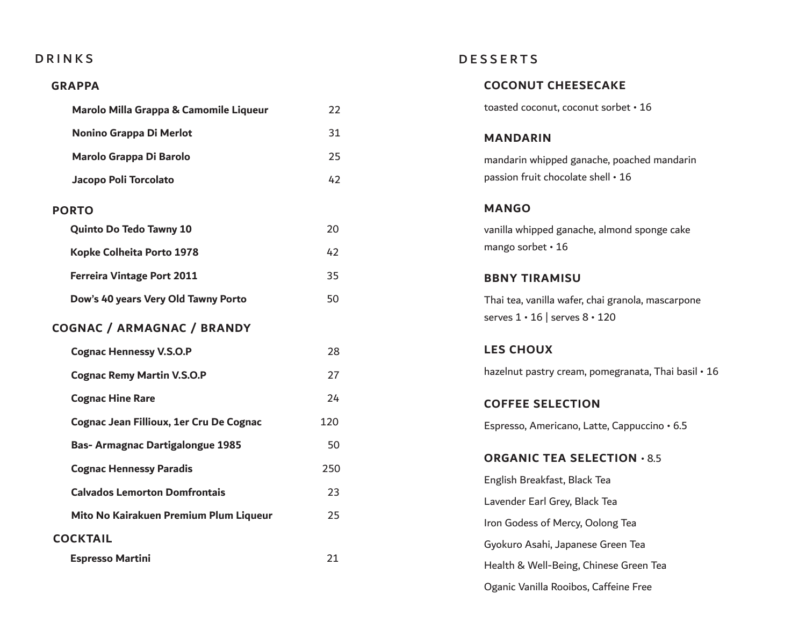## DRINKS

## **GRAPPA**

| Marolo Milla Grappa & Camomile Liqueur  | 22  |
|-----------------------------------------|-----|
| Nonino Grappa Di Merlot                 | 31  |
| Marolo Grappa Di Barolo                 | 25  |
| Jacopo Poli Torcolato                   | 42  |
| <b>PORTO</b>                            |     |
| <b>Quinto Do Tedo Tawny 10</b>          | 20  |
| Kopke Colheita Porto 1978               | 42  |
| <b>Ferreira Vintage Port 2011</b>       | 35  |
| Dow's 40 years Very Old Tawny Porto     | 50  |
| <b>COGNAC / ARMAGNAC / BRANDY</b>       |     |
| <b>Cognac Hennessy V.S.O.P</b>          | 28  |
| <b>Cognac Remy Martin V.S.O.P</b>       | 27  |
| <b>Cognac Hine Rare</b>                 | 24  |
| Cognac Jean Fillioux, 1er Cru De Cognac | 120 |
| <b>Bas-Armagnac Dartigalongue 1985</b>  | 50  |
| <b>Cognac Hennessy Paradis</b>          | 250 |
| <b>Calvados Lemorton Domfrontais</b>    | 23  |
| Mito No Kairakuen Premium Plum Liqueur  | 25  |
| <b>COCKTAIL</b>                         |     |
| <b>Espresso Martini</b>                 | 21  |
|                                         |     |

## DESSERTS

| <b>COCONUT CHEESECAKE</b>                                                                     |
|-----------------------------------------------------------------------------------------------|
| toasted coconut, coconut sorbet • 16                                                          |
| <b>MANDARIN</b>                                                                               |
| mandarin whipped ganache, poached mandarin<br>passion fruit chocolate shell · 16              |
| <b>MANGO</b>                                                                                  |
| vanilla whipped ganache, almond sponge cake<br>mango sorbet • 16                              |
| <b>BBNY TIRAMISU</b>                                                                          |
| Thai tea, vanilla wafer, chai granola, mascarpone<br>serves $1 \cdot 16$ serves $8 \cdot 120$ |
|                                                                                               |
| <b>LES CHOUX</b>                                                                              |
| hazelnut pastry cream, pomegranata, Thai basil • 16                                           |
| <b>COFFEE SELECTION</b>                                                                       |
| Espresso, Americano, Latte, Cappuccino · 6.5                                                  |
| <b>ORGANIC TEA SELECTION . 8.5</b>                                                            |
| English Breakfast, Black Tea                                                                  |
| Lavender Earl Grey, Black Tea                                                                 |
| Iron Godess of Mercy, Oolong Tea                                                              |
| Gyokuro Asahi, Japanese Green Tea                                                             |
| Health & Well-Being, Chinese Green Tea                                                        |